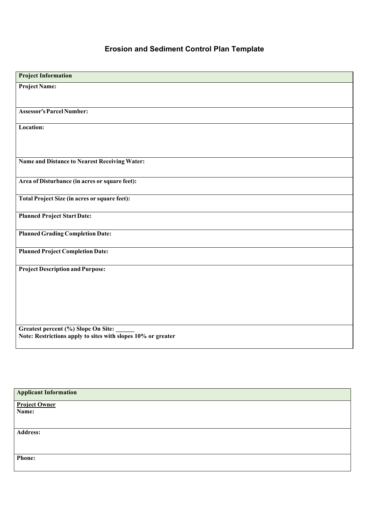## **Erosion and Sediment Control Plan Template**

| <b>Project Information</b>                                   |
|--------------------------------------------------------------|
| <b>Project Name:</b>                                         |
|                                                              |
| <b>Assessor's Parcel Number:</b>                             |
|                                                              |
| Location:                                                    |
|                                                              |
|                                                              |
| <b>Name and Distance to Nearest Receiving Water:</b>         |
|                                                              |
| Area of Disturbance (in acres or square feet):               |
| Total Project Size (in acres or square feet):                |
|                                                              |
| <b>Planned Project Start Date:</b>                           |
| <b>Planned Grading Completion Date:</b>                      |
|                                                              |
| Planned Project Completion Date:                             |
|                                                              |
| <b>Project Description and Purpose:</b>                      |
|                                                              |
|                                                              |
|                                                              |
|                                                              |
| Greatest percent (%) Slope On Site:                          |
| Note: Restrictions apply to sites with slopes 10% or greater |
|                                                              |

| <b>Applicant Information</b>  |  |
|-------------------------------|--|
| <b>Project Owner</b><br>Name: |  |
|                               |  |
| <b>Address:</b>               |  |
|                               |  |
| <b>Phone:</b>                 |  |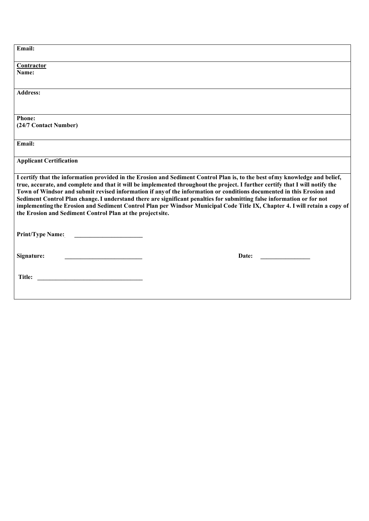| Email:                                                                                                                                                                                                                                                                                                                                                                                                                                                                                                                                                                                                                                                                                                       |       |  |
|--------------------------------------------------------------------------------------------------------------------------------------------------------------------------------------------------------------------------------------------------------------------------------------------------------------------------------------------------------------------------------------------------------------------------------------------------------------------------------------------------------------------------------------------------------------------------------------------------------------------------------------------------------------------------------------------------------------|-------|--|
| Contractor<br>Name:                                                                                                                                                                                                                                                                                                                                                                                                                                                                                                                                                                                                                                                                                          |       |  |
| <b>Address:</b>                                                                                                                                                                                                                                                                                                                                                                                                                                                                                                                                                                                                                                                                                              |       |  |
| <b>Phone:</b><br>(24/7 Contact Number)                                                                                                                                                                                                                                                                                                                                                                                                                                                                                                                                                                                                                                                                       |       |  |
| Email:                                                                                                                                                                                                                                                                                                                                                                                                                                                                                                                                                                                                                                                                                                       |       |  |
| <b>Applicant Certification</b>                                                                                                                                                                                                                                                                                                                                                                                                                                                                                                                                                                                                                                                                               |       |  |
| I certify that the information provided in the Erosion and Sediment Control Plan is, to the best of my knowledge and belief,<br>true, accurate, and complete and that it will be implemented throughout the project. I further certify that I will notify the<br>Town of Windsor and submit revised information if any of the information or conditions documented in this Erosion and<br>Sediment Control Plan change. I understand there are significant penalties for submitting false information or for not<br>implementing the Erosion and Sediment Control Plan per Windsor Municipal Code Title IX, Chapter 4. I will retain a copy of<br>the Erosion and Sediment Control Plan at the project site. |       |  |
|                                                                                                                                                                                                                                                                                                                                                                                                                                                                                                                                                                                                                                                                                                              |       |  |
| Signature:                                                                                                                                                                                                                                                                                                                                                                                                                                                                                                                                                                                                                                                                                                   | Date: |  |
| Title:                                                                                                                                                                                                                                                                                                                                                                                                                                                                                                                                                                                                                                                                                                       |       |  |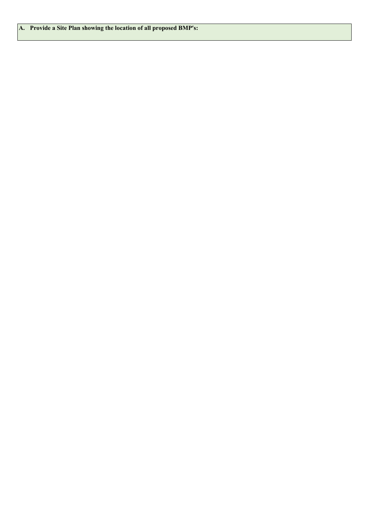**A. Provide a Site Plan showing the location of all proposed BMP's:**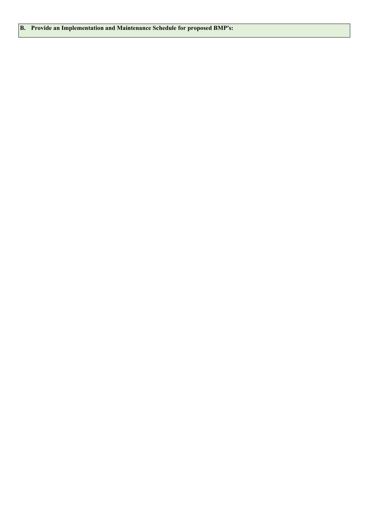## **B. Provide an Implementation and Maintenance Schedule for proposed BMP's:**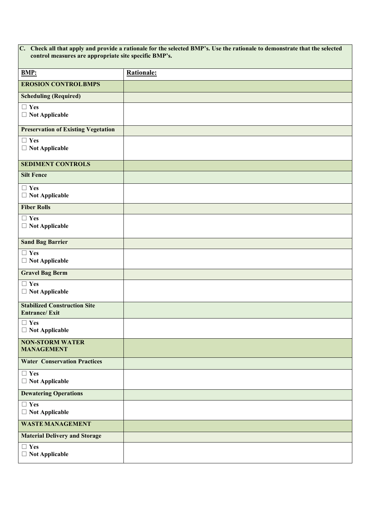**C. Check all that apply and provide a rationale for the selected BMP's. Use the rationale to demonstrate that the selected control measures are appropriate site specific BMP's.**

| <b>BMP:</b>                                                  | Rationale: |
|--------------------------------------------------------------|------------|
| <b>EROSION CONTROLBMPS</b>                                   |            |
| <b>Scheduling (Required)</b>                                 |            |
| $\Box$ Yes<br>$\Box$ Not Applicable                          |            |
| <b>Preservation of Existing Vegetation</b>                   |            |
| $\Box$ Yes<br>$\Box$ Not Applicable                          |            |
| <b>SEDIMENT CONTROLS</b>                                     |            |
| <b>Silt Fence</b>                                            |            |
| $\Box$ Yes<br>$\Box$ Not Applicable                          |            |
| <b>Fiber Rolls</b>                                           |            |
| $\Box$ Yes<br>$\Box$ Not Applicable                          |            |
| <b>Sand Bag Barrier</b>                                      |            |
| $\Box$ Yes<br>$\Box$ Not Applicable                          |            |
| <b>Gravel Bag Berm</b>                                       |            |
| $\Box$ Yes<br>$\Box$ Not Applicable                          |            |
| <b>Stabilized Construction Site</b><br><b>Entrance/ Exit</b> |            |
| $\Box$ Yes<br>$\Box$ Not Applicable                          |            |
| <b>NON-STORM WATER</b><br><b>MANAGEMENT</b>                  |            |
| <b>Water Conservation Practices</b>                          |            |
| $\Box$ Yes<br>$\Box$ Not Applicable                          |            |
| <b>Dewatering Operations</b>                                 |            |
| $\Box$ Yes<br>$\Box$ Not Applicable                          |            |
| <b>WASTE MANAGEMENT</b>                                      |            |
| <b>Material Delivery and Storage</b>                         |            |
| $\Box$ Yes<br>$\Box$ Not Applicable                          |            |